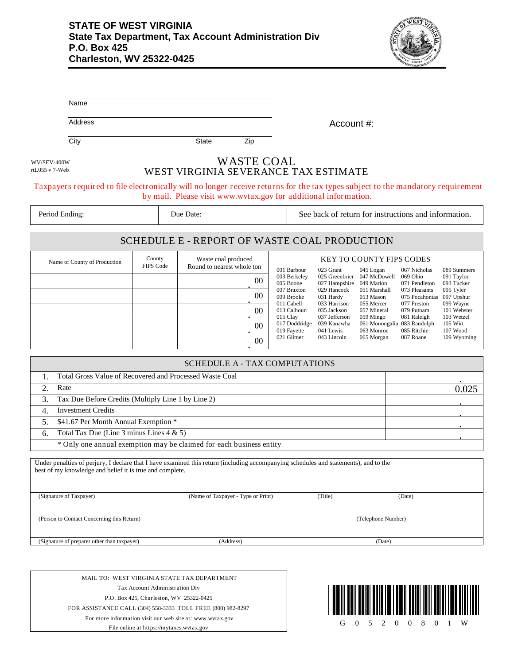## **STATE OF WEST VIRGINIA State Tax Department, Tax Account Administration Div P.O. Box 425 Charleston, WV 25322-0425**



| Name                                                                                                                     |                                          |                                                                     |                                                                                                                                                                                                    |
|--------------------------------------------------------------------------------------------------------------------------|------------------------------------------|---------------------------------------------------------------------|----------------------------------------------------------------------------------------------------------------------------------------------------------------------------------------------------|
| Address                                                                                                                  |                                          |                                                                     | Account #:                                                                                                                                                                                         |
| City                                                                                                                     |                                          | Zip<br><b>State</b>                                                 |                                                                                                                                                                                                    |
| WV/SEV-400W<br>rtL055 v 7-Web                                                                                            |                                          | <b>WASTE COAL</b>                                                   | WEST VIRGINIA SEVERANCE TAX ESTIMATE                                                                                                                                                               |
|                                                                                                                          |                                          |                                                                     | Taxpayers required to file electronically will no longer receive returns for the tax types subject to the mandatory requirement<br>by mail. Please visit www.wvtax.gov for additional information. |
| Period Ending:                                                                                                           |                                          | Due Date:                                                           | See back of return for instructions and information.                                                                                                                                               |
|                                                                                                                          |                                          |                                                                     | SCHEDULE E - REPORT OF WASTE COAL PRODUCTION                                                                                                                                                       |
| Name of County of Production                                                                                             | County<br>FIPS Code                      | Waste coal produced<br>Round to nearest whole ton                   | <b>KEY TO COUNTY FIPS CODES</b><br>001 Barbour<br>023 Grant<br>045 Logan<br>067 Nicholas<br>089 Summers                                                                                            |
|                                                                                                                          |                                          | 00                                                                  | 003 Berkeley<br>025 Greenbrier 047 McDowell<br>091 Taylor<br>069 Ohio<br>005 Boone<br>049 Marion<br>093 Tucker<br>027 Hampshire<br>071 Pendleton                                                   |
|                                                                                                                          |                                          | 00                                                                  | 007 Braxton<br>029 Hancock<br>051 Marshall<br>073 Pleasants<br>095 Tyler<br>009 Brooke<br>075 Pocahontas 097 Upshur<br>031 Hardy<br>053 Mason                                                      |
|                                                                                                                          |                                          | $00\,$                                                              | 011 Cabell<br>033 Harrison<br>055 Mercer<br>077 Preston<br>099 Wayne<br>101 Webster<br>013 Calhoun<br>035 Jackson<br>057 Mineral<br>079 Putnam                                                     |
|                                                                                                                          |                                          | $00\,$                                                              | 015 Clay<br>037 Jefferson<br>059 Mingo<br>081 Raleigh<br>103 Wetzel<br>017 Doddridge<br>061 Monongalia 083 Randolph<br>105 Wirt<br>039 Kanawha                                                     |
|                                                                                                                          |                                          | 00                                                                  | 019 Fayette<br>063 Monroe<br>085 Ritchie<br>107 Wood<br>041 Lewis<br>021 Gilmer<br>087 Roane<br>043 Lincoln<br>065 Morgan<br>109 Wyoming                                                           |
|                                                                                                                          |                                          | <b>SCHEDULE A - TAX COMPUTATIONS</b>                                |                                                                                                                                                                                                    |
| Total Gross Value of Recovered and Processed Waste Coal<br>1.                                                            |                                          |                                                                     |                                                                                                                                                                                                    |
| 2.<br>Rate                                                                                                               |                                          |                                                                     | 0.025                                                                                                                                                                                              |
| Tax Due Before Credits (Multiply Line 1 by Line 2)<br>3.                                                                 |                                          |                                                                     |                                                                                                                                                                                                    |
| 4.<br><b>Investment Credits</b>                                                                                          |                                          |                                                                     |                                                                                                                                                                                                    |
| \$41.67 Per Month Annual Exemption *<br>5.                                                                               |                                          |                                                                     |                                                                                                                                                                                                    |
| Total Tax Due (Line 3 minus Lines $4 & 5$ )<br>6.                                                                        |                                          |                                                                     |                                                                                                                                                                                                    |
|                                                                                                                          |                                          | * Only one annual exemption may be claimed for each business entity |                                                                                                                                                                                                    |
| best of my knowledge and belief it is true and complete.                                                                 |                                          |                                                                     | Under penalties of perjury, I declare that I have examined this return (including accompanying schedules and statements), and to the                                                               |
| (Signature of Taxpayer)                                                                                                  |                                          | (Name of Taxpayer - Type or Print)                                  | (Title)<br>(Date)                                                                                                                                                                                  |
| (Person to Contact Concerning this Return)                                                                               |                                          |                                                                     | (Telephone Number)                                                                                                                                                                                 |
| (Signature of preparer other than taxpayer)                                                                              |                                          | (Address)                                                           | (Date)                                                                                                                                                                                             |
|                                                                                                                          |                                          |                                                                     |                                                                                                                                                                                                    |
|                                                                                                                          |                                          | MAIL TO: WEST VIRGINIA STATE TAX DEPARTMENT                         |                                                                                                                                                                                                    |
| Tax Account Administration Div                                                                                           |                                          |                                                                     |                                                                                                                                                                                                    |
| P.O. Box 425, Charleston, WV 25322-0425                                                                                  |                                          |                                                                     |                                                                                                                                                                                                    |
| FOR ASSISTANCE CALL (304) 558-3333 TOLL FREE (800) 982-8297<br>For more information visit our web site at: www.wvtax.gov |                                          |                                                                     |                                                                                                                                                                                                    |
|                                                                                                                          | File online at https://mytaxes.wvtax.gov | 5<br>2<br>0<br>$\theta$<br>0<br>8<br>W<br>G<br>$\theta$             |                                                                                                                                                                                                    |